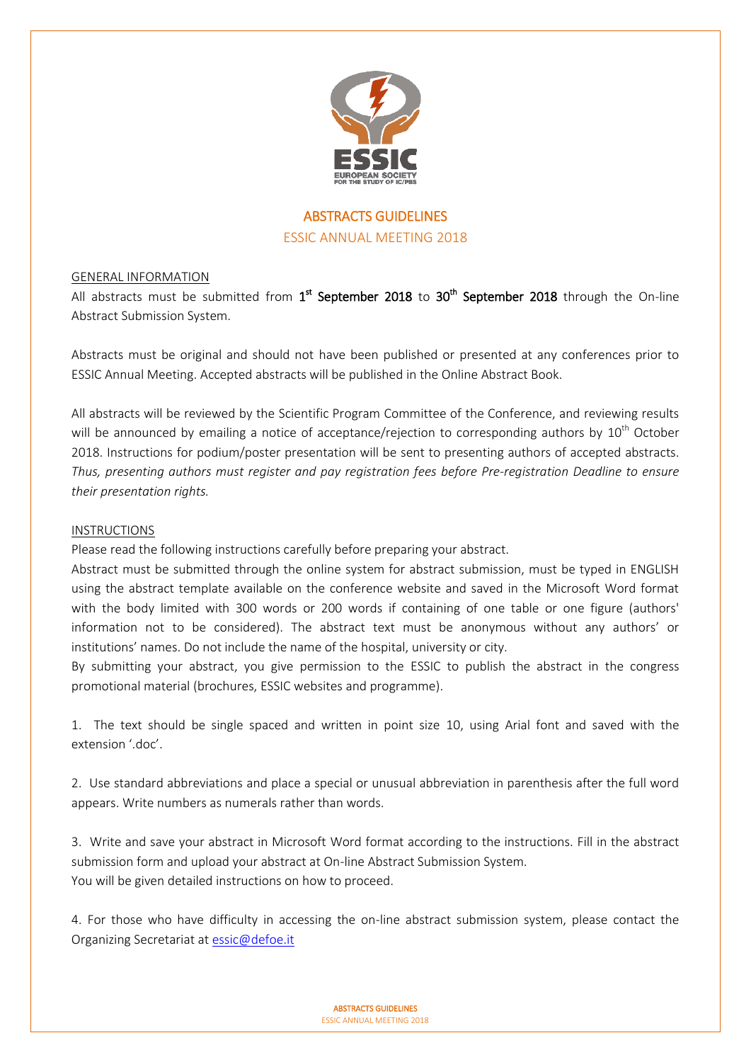

# ABSTRACTS GUIDELINES ESSIC ANNUAL MEETING 2018

# GENERAL INFORMATION

All abstracts must be submitted from  $1<sup>st</sup>$  September 2018 to 30<sup>th</sup> September 2018 through the On-line Abstract Submission System.

Abstracts must be original and should not have been published or presented at any conferences prior to ESSIC Annual Meeting. Accepted abstracts will be published in the Online Abstract Book.

All abstracts will be reviewed by the Scientific Program Committee of the Conference, and reviewing results will be announced by emailing a notice of acceptance/rejection to corresponding authors by 10<sup>th</sup> October 2018. Instructions for podium/poster presentation will be sent to presenting authors of accepted abstracts. *Thus, presenting authors must register and pay registration fees before Pre-registration Deadline to ensure their presentation rights.*

#### INSTRUCTIONS

Please read the following instructions carefully before preparing your abstract.

Abstract must be submitted through the online system for abstract submission, must be typed in ENGLISH using the abstract template available on the conference website and saved in the Microsoft Word format with the body limited with 300 words or 200 words if containing of one table or one figure (authors' information not to be considered). The abstract text must be anonymous without any authors' or institutions' names. Do not include the name of the hospital, university or city.

By submitting your abstract, you give permission to the ESSIC to publish the abstract in the congress promotional material (brochures, ESSIC websites and programme).

1. The text should be single spaced and written in point size 10, using Arial font and saved with the extension '.doc'.

2. Use standard abbreviations and place a special or unusual abbreviation in parenthesis after the full word appears. Write numbers as numerals rather than words.

3. Write and save your abstract in Microsoft Word format according to the instructions. Fill in the abstract submission form and upload your abstract at On-line Abstract Submission System. You will be given detailed instructions on how to proceed.

4. For those who have difficulty in accessing the on-line abstract submission system, please contact the Organizing Secretariat at [essic@defoe.it](mailto:essic@defoe.it)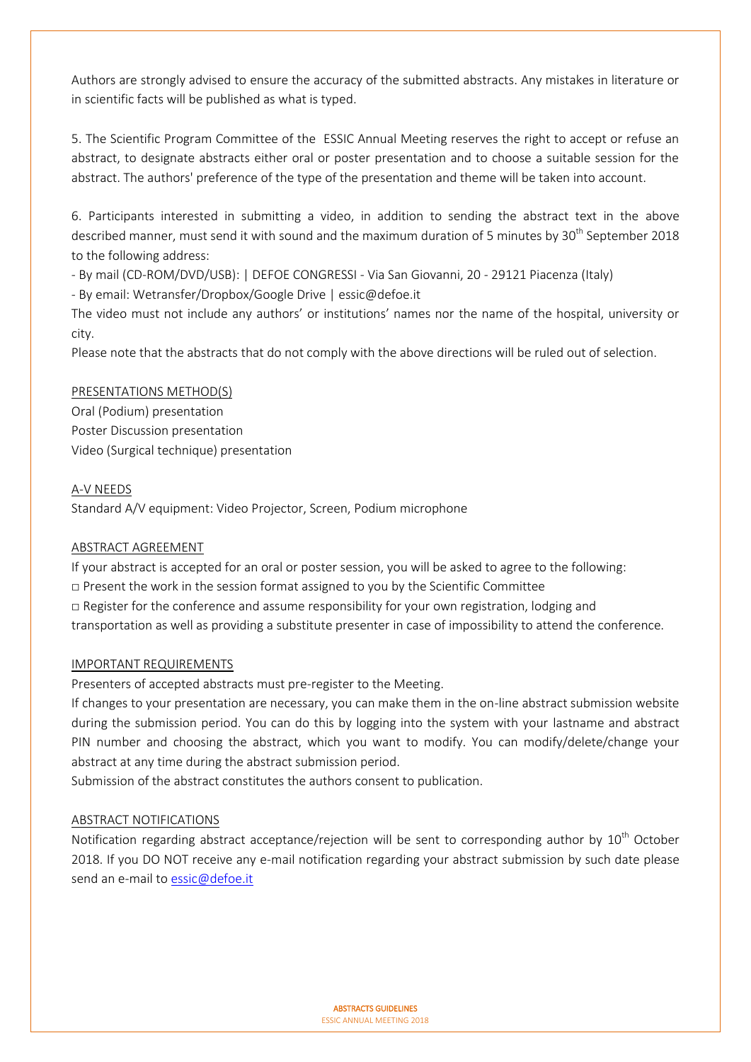Authors are strongly advised to ensure the accuracy of the submitted abstracts. Any mistakes in literature or in scientific facts will be published as what is typed.

5. The Scientific Program Committee of the ESSIC Annual Meeting reserves the right to accept or refuse an abstract, to designate abstracts either oral or poster presentation and to choose a suitable session for the abstract. The authors' preference of the type of the presentation and theme will be taken into account.

6. Participants interested in submitting a video, in addition to sending the abstract text in the above described manner, must send it with sound and the maximum duration of 5 minutes by 30<sup>th</sup> September 2018 to the following address:

- By mail (CD-ROM/DVD/USB): | DEFOE CONGRESSI - Via San Giovanni, 20 - 29121 Piacenza (Italy)

- By email: Wetransfer/Dropbox/Google Drive | essic@defoe.it

The video must not include any authors' or institutions' names nor the name of the hospital, university or city.

Please note that the abstracts that do not comply with the above directions will be ruled out of selection.

# PRESENTATIONS METHOD(S)

Oral (Podium) presentation Poster Discussion presentation Video (Surgical technique) presentation

# A-V NEEDS

Standard A/V equipment: Video Projector, Screen, Podium microphone

# ABSTRACT AGREEMENT

If your abstract is accepted for an oral or poster session, you will be asked to agree to the following:  $\Box$  Present the work in the session format assigned to you by the Scientific Committee  $\Box$  Register for the conference and assume responsibility for your own registration, lodging and transportation as well as providing a substitute presenter in case of impossibility to attend the conference.

# IMPORTANT REQUIREMENTS

Presenters of accepted abstracts must pre-register to the Meeting.

If changes to your presentation are necessary, you can make them in the on-line abstract submission website during the submission period. You can do this by logging into the system with your lastname and abstract PIN number and choosing the abstract, which you want to modify. You can modify/delete/change your abstract at any time during the abstract submission period.

Submission of the abstract constitutes the authors consent to publication.

# ABSTRACT NOTIFICATIONS

Notification regarding abstract acceptance/rejection will be sent to corresponding author by 10<sup>th</sup> October 2018. If you DO NOT receive any e-mail notification regarding your abstract submission by such date please send an e-mail t[o essic@defoe.it](mailto:essic@defoe.it)